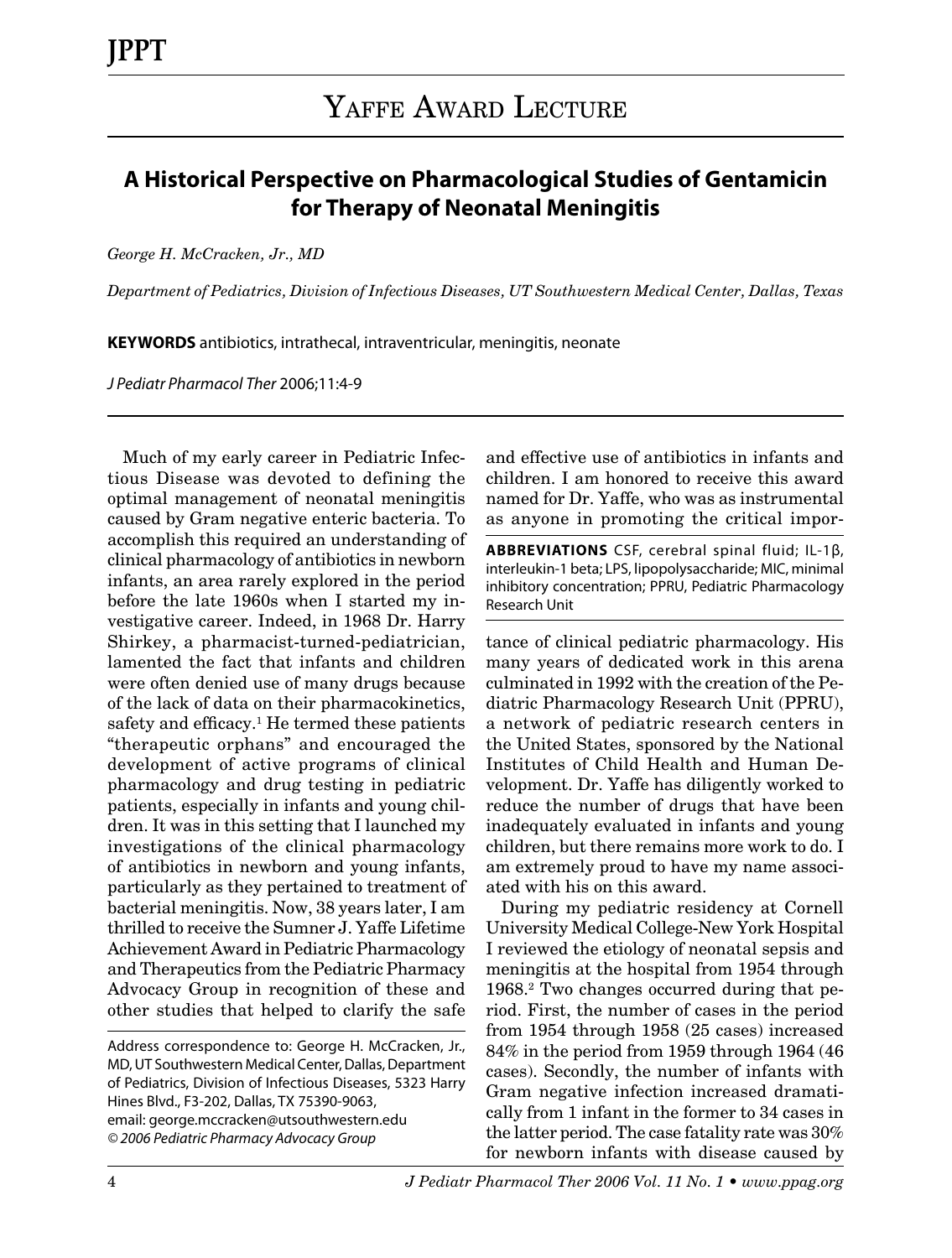## **A Historical Perspective on Pharmacological Studies of Gentamicin for Therapy of Neonatal Meningitis**

*George H. McCracken, Jr., MD*

*Department of Pediatrics, Division of Infectious Diseases, UT Southwestern Medical Center, Dallas, Texas*

**KEYWORDS** antibiotics, intrathecal, intraventricular, meningitis, neonate

*J Pediatr Pharmacol Ther* 2006;11:4-9

Much of my early career in Pediatric Infectious Disease was devoted to defining the optimal management of neonatal meningitis caused by Gram negative enteric bacteria. To accomplish this required an understanding of clinical pharmacology of antibiotics in newborn infants, an area rarely explored in the period before the late 1960s when I started my investigative career. Indeed, in 1968 Dr. Harry Shirkey, a pharmacist-turned-pediatrician, lamented the fact that infants and children were often denied use of many drugs because of the lack of data on their pharmacokinetics, safety and efficacy.<sup>1</sup> He termed these patients "therapeutic orphans" and encouraged the development of active programs of clinical pharmacology and drug testing in pediatric patients, especially in infants and young children. It was in this setting that I launched my investigations of the clinical pharmacology of antibiotics in newborn and young infants, particularly as they pertained to treatment of bacterial meningitis. Now, 38 years later, I am thrilled to receive the Sumner J. Yaffe Lifetime Achievement Award in Pediatric Pharmacology and Therapeutics from the Pediatric Pharmacy Advocacy Group in recognition of these and other studies that helped to clarify the safe

Address correspondence to: George H. McCracken, Jr., MD, UT Southwestern Medical Center, Dallas, Department of Pediatrics, Division of Infectious Diseases, 5323 Harry Hines Blvd., F3-202, Dallas, TX 75390-9063, email: george.mccracken@utsouthwestern.edu *© 2006 Pediatric Pharmacy Advocacy Group*

and effective use of antibiotics in infants and children. I am honored to receive this award named for Dr. Yaffe, who was as instrumental as anyone in promoting the critical impor-

**ABBREVIATIONS** CSF, cerebral spinal fluid; IL-1β, interleukin-1 beta; LPS, lipopolysaccharide; MIC, minimal inhibitory concentration; PPRU, Pediatric Pharmacology Research Unit

tance of clinical pediatric pharmacology. His many years of dedicated work in this arena culminated in 1992 with the creation of the Pediatric Pharmacology Research Unit (PPRU), a network of pediatric research centers in the United States, sponsored by the National Institutes of Child Health and Human Development. Dr. Yaffe has diligently worked to reduce the number of drugs that have been inadequately evaluated in infants and young children, but there remains more work to do. I am extremely proud to have my name associated with his on this award.

During my pediatric residency at Cornell University Medical College-New York Hospital I reviewed the etiology of neonatal sepsis and meningitis at the hospital from 1954 through 1968.2 Two changes occurred during that period. First, the number of cases in the period from 1954 through 1958 (25 cases) increased 84% in the period from 1959 through 1964 (46 cases). Secondly, the number of infants with Gram negative infection increased dramatically from 1 infant in the former to 34 cases in the latter period. The case fatality rate was 30% for newborn infants with disease caused by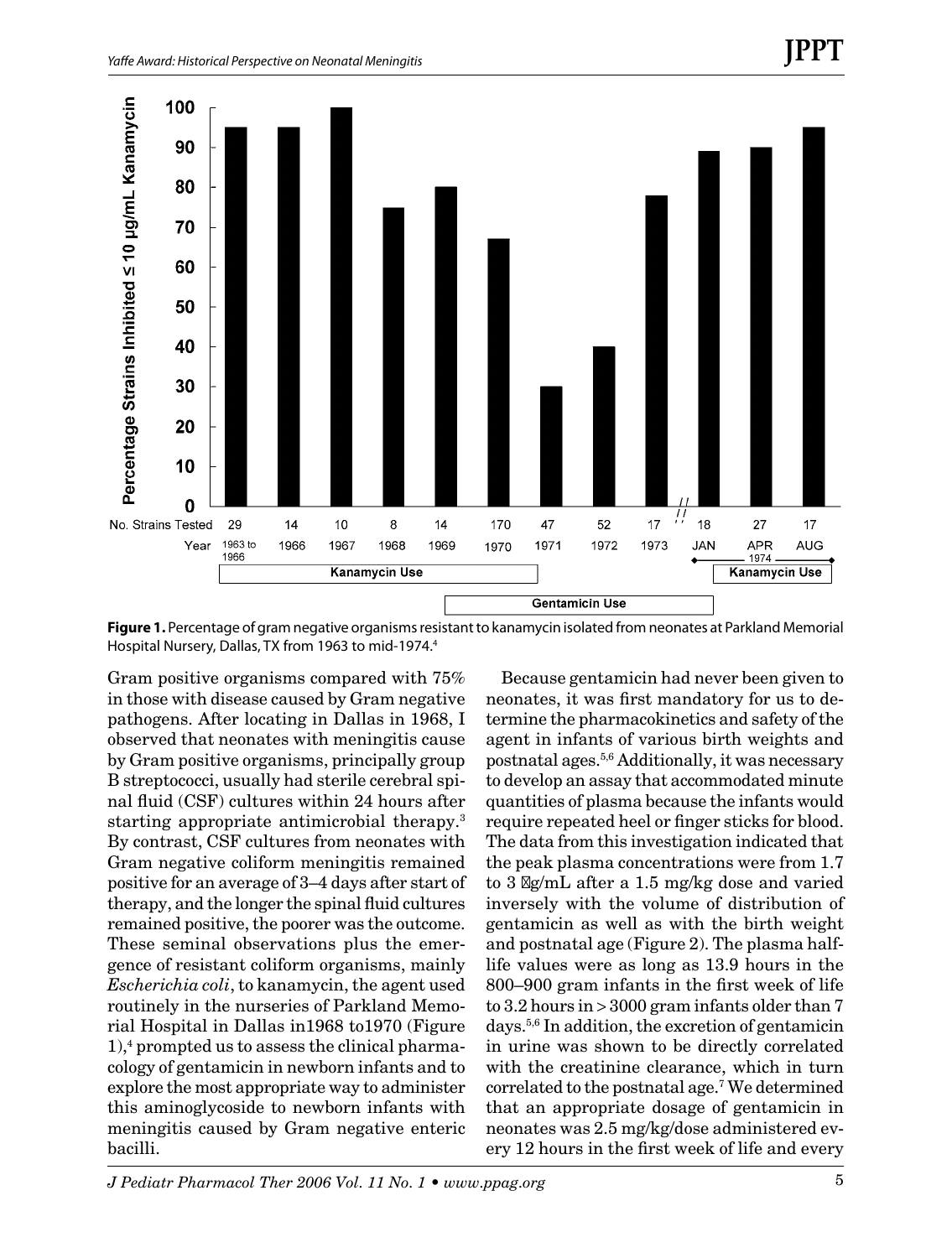

**Figure 1.** Percentage of gram negative organisms resistant to kanamycin isolated from neonates at Parkland Memorial Hospital Nursery, Dallas, TX from 1963 to mid-1974.<sup>4</sup>

Gram positive organisms compared with 75% in those with disease caused by Gram negative pathogens. After locating in Dallas in 1968, I observed that neonates with meningitis cause by Gram positive organisms, principally group B streptococci, usually had sterile cerebral spinal fluid (CSF) cultures within 24 hours after starting appropriate antimicrobial therapy.3 By contrast, CSF cultures from neonates with Gram negative coliform meningitis remained positive for an average of 3–4 days after start of therapy, and the longer the spinal fluid cultures remained positive, the poorer was the outcome. These seminal observations plus the emergence of resistant coliform organisms, mainly *Escherichia coli*, to kanamycin, the agent used routinely in the nurseries of Parkland Memorial Hospital in Dallas in1968 to1970 (Figure 1),4 prompted us to assess the clinical pharmacology of gentamicin in newborn infants and to explore the most appropriate way to administer this aminoglycoside to newborn infants with meningitis caused by Gram negative enteric bacilli.

Because gentamicin had never been given to neonates, it was first mandatory for us to determine the pharmacokinetics and safety of the agent in infants of various birth weights and postnatal ages.5,6 Additionally, it was necessary to develop an assay that accommodated minute quantities of plasma because the infants would require repeated heel or finger sticks for blood. The data from this investigation indicated that the peak plasma concentrations were from 1.7 to 3 mg/mL after a 1.5 mg/kg dose and varied inversely with the volume of distribution of gentamicin as well as with the birth weight and postnatal age (Figure 2). The plasma halflife values were as long as 13.9 hours in the 800–900 gram infants in the first week of life to 3.2 hours in > 3000 gram infants older than 7 days.5,6 In addition, the excretion of gentamicin in urine was shown to be directly correlated with the creatinine clearance, which in turn correlated to the postnatal age.7 We determined that an appropriate dosage of gentamicin in neonates was 2.5 mg/kg/dose administered every 12 hours in the first week of life and every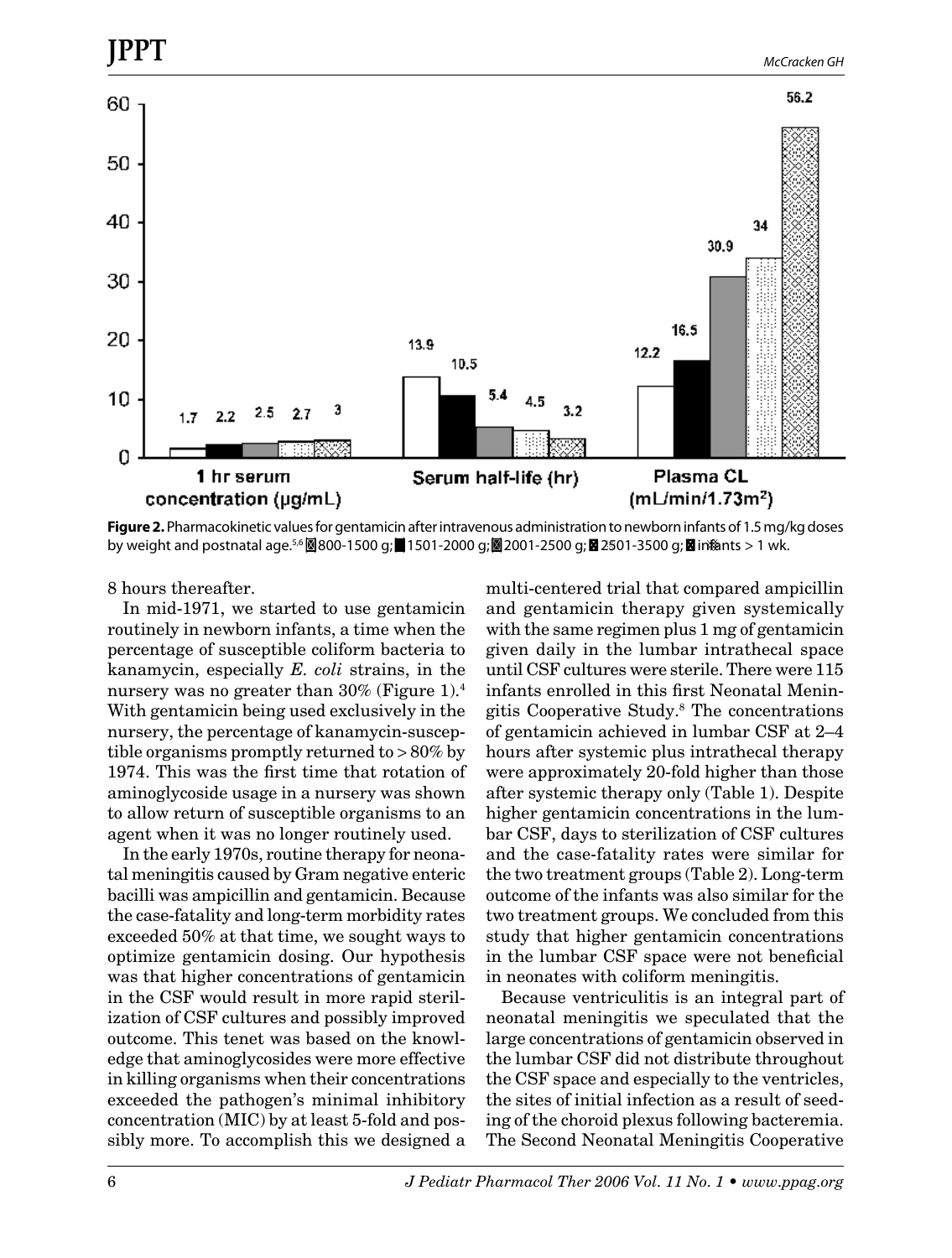

**Figure 2.** Pharmacokinetic values for gentamicin after intravenous administration to newborn infants of 1.5 mg/kg doses by weight and postnatal age.<sup>5,6</sup> 800-1500 g; 1501-2000 g; 2001-2500 g; 2501-3500 g; ⊠in¤ânts > 1 wk.

8 hours thereafter.

In mid-1971, we started to use gentamicin routinely in newborn infants, a time when the percentage of susceptible coliform bacteria to kanamycin, especially *E. coli* strains, in the nursery was no greater than 30% (Figure 1).<sup>4</sup> With gentamicin being used exclusively in the nursery, the percentage of kanamycin-susceptible organisms promptly returned to > 80% by 1974. This was the first time that rotation of aminoglycoside usage in a nursery was shown to allow return of susceptible organisms to an agent when it was no longer routinely used.

In the early 1970s, routine therapy for neonatal meningitis caused by Gram negative enteric bacilli was ampicillin and gentamicin. Because the case-fatality and long-term morbidity rates exceeded 50% at that time, we sought ways to optimize gentamicin dosing. Our hypothesis was that higher concentrations of gentamicin in the CSF would result in more rapid sterilization of CSF cultures and possibly improved outcome. This tenet was based on the knowledge that aminoglycosides were more effective in killing organisms when their concentrations exceeded the pathogen's minimal inhibitory concentration (MIC) by at least 5-fold and possibly more. To accomplish this we designed a multi-centered trial that compared ampicillin and gentamicin therapy given systemically with the same regimen plus 1 mg of gentamicin given daily in the lumbar intrathecal space until CSF cultures were sterile. There were 115 infants enrolled in this first Neonatal Meningitis Cooperative Study.8 The concentrations of gentamicin achieved in lumbar CSF at 2–4 hours after systemic plus intrathecal therapy were approximately 20-fold higher than those after systemic therapy only (Table 1). Despite higher gentamicin concentrations in the lumbar CSF, days to sterilization of CSF cultures and the case-fatality rates were similar for the two treatment groups (Table 2). Long-term outcome of the infants was also similar for the two treatment groups. We concluded from this study that higher gentamicin concentrations in the lumbar CSF space were not beneficial in neonates with coliform meningitis.

Because ventriculitis is an integral part of neonatal meningitis we speculated that the large concentrations of gentamicin observed in the lumbar CSF did not distribute throughout the CSF space and especially to the ventricles, the sites of initial infection as a result of seeding of the choroid plexus following bacteremia. The Second Neonatal Meningitis Cooperative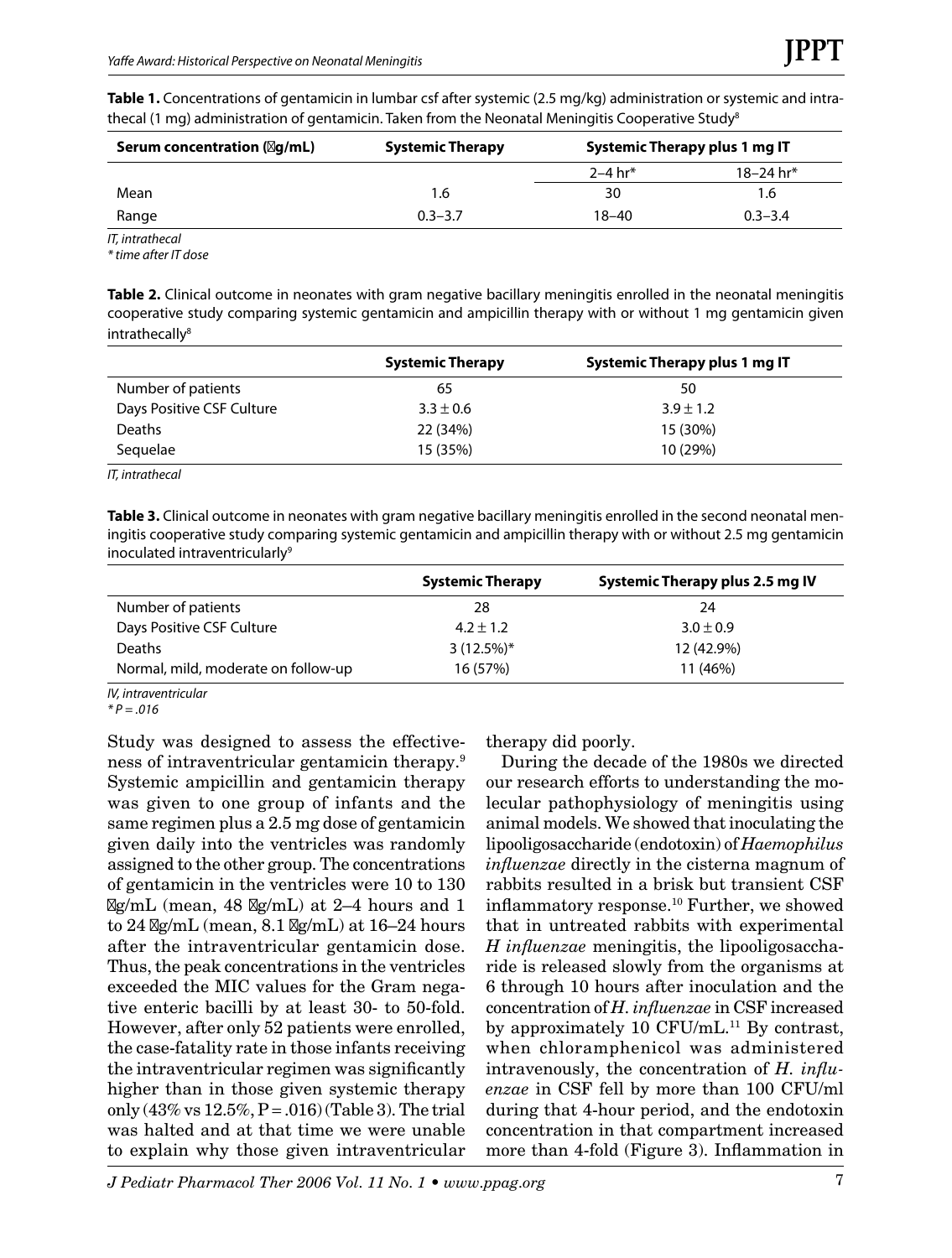| Table 1. Concentrations of gentamicin in lumbar csf after systemic (2.5 mg/kg) administration or systemic and intra- |
|----------------------------------------------------------------------------------------------------------------------|
| thecal (1 mg) administration of gentamicin. Taken from the Neonatal Meningitis Cooperative Study <sup>8</sup>        |

| Serum concentration $(\boxtimes q/mL)$ | <b>Systemic Therapy</b> | Systemic Therapy plus 1 mg IT |             |
|----------------------------------------|-------------------------|-------------------------------|-------------|
|                                        |                         | 2–4 hr*                       | 18–24 hr*   |
| Mean                                   | 1.6                     | 30                            | 1.6         |
| Range                                  | $0.3 - 3.7$             | $18 - 40$                     | $0.3 - 3.4$ |
|                                        |                         |                               |             |

*IT, intrathecal*

*\* time after IT dose*

**Table 2.** Clinical outcome in neonates with gram negative bacillary meningitis enrolled in the neonatal meningitis cooperative study comparing systemic gentamicin and ampicillin therapy with or without 1 mg gentamicin given intrathecally<sup>8</sup>

|                           | <b>Systemic Therapy</b> | Systemic Therapy plus 1 mg IT |
|---------------------------|-------------------------|-------------------------------|
| Number of patients        | 65                      | 50                            |
| Days Positive CSF Culture | $3.3 \pm 0.6$           | $3.9 \pm 1.2$                 |
| <b>Deaths</b>             | 22 (34%)                | 15 (30%)                      |
| Sequelae                  | 15 (35%)                | 10 (29%)                      |

*IT, intrathecal*

**Table 3.** Clinical outcome in neonates with gram negative bacillary meningitis enrolled in the second neonatal meningitis cooperative study comparing systemic gentamicin and ampicillin therapy with or without 2.5 mg gentamicin inoculated intraventricularly<sup>9</sup>

|                                     | <b>Systemic Therapy</b> | Systemic Therapy plus 2.5 mg IV |
|-------------------------------------|-------------------------|---------------------------------|
| Number of patients                  | 28                      | 24                              |
| Days Positive CSF Culture           | $4.2 \pm 1.2$           | $3.0 \pm 0.9$                   |
| <b>Deaths</b>                       | $3(12.5%)*$             | 12 (42.9%)                      |
| Normal, mild, moderate on follow-up | 16 (57%)                | 11 (46%)                        |

*IV, intraventricular*

*\* P = .016*

Study was designed to assess the effectiveness of intraventricular gentamicin therapy.9 Systemic ampicillin and gentamicin therapy was given to one group of infants and the same regimen plus a 2.5 mg dose of gentamicin given daily into the ventricles was randomly assigned to the other group. The concentrations of gentamicin in the ventricles were 10 to 130  $\log\sim$ L (mean, 48  $\log\sim$ L) at 2–4 hours and 1 to  $24 \text{ Ng/mL}$  (mean,  $8.1 \text{ Ng/mL}$ ) at  $16-24$  hours after the intraventricular gentamicin dose. Thus, the peak concentrations in the ventricles exceeded the MIC values for the Gram negative enteric bacilli by at least 30- to 50-fold. However, after only 52 patients were enrolled, the case-fatality rate in those infants receiving the intraventricular regimen was significantly higher than in those given systemic therapy only  $(43\% \text{ vs } 12.5\%, P = .016)$  (Table 3). The trial was halted and at that time we were unable to explain why those given intraventricular therapy did poorly.

During the decade of the 1980s we directed our research efforts to understanding the molecular pathophysiology of meningitis using animal models. We showed that inoculating the lipooligosaccharide (endotoxin) of *Haemophilus influenzae* directly in the cisterna magnum of rabbits resulted in a brisk but transient CSF inflammatory response.10 Further, we showed that in untreated rabbits with experimental *H influenzae* meningitis, the lipooligosaccharide is released slowly from the organisms at 6 through 10 hours after inoculation and the concentration of *H. influenzae* in CSF increased by approximately 10 CFU/mL $^{11}$  By contrast, when chloramphenicol was administered intravenously, the concentration of *H. influenzae* in CSF fell by more than 100 CFU/ml during that 4-hour period, and the endotoxin concentration in that compartment increased more than 4-fold (Figure 3). Inflammation in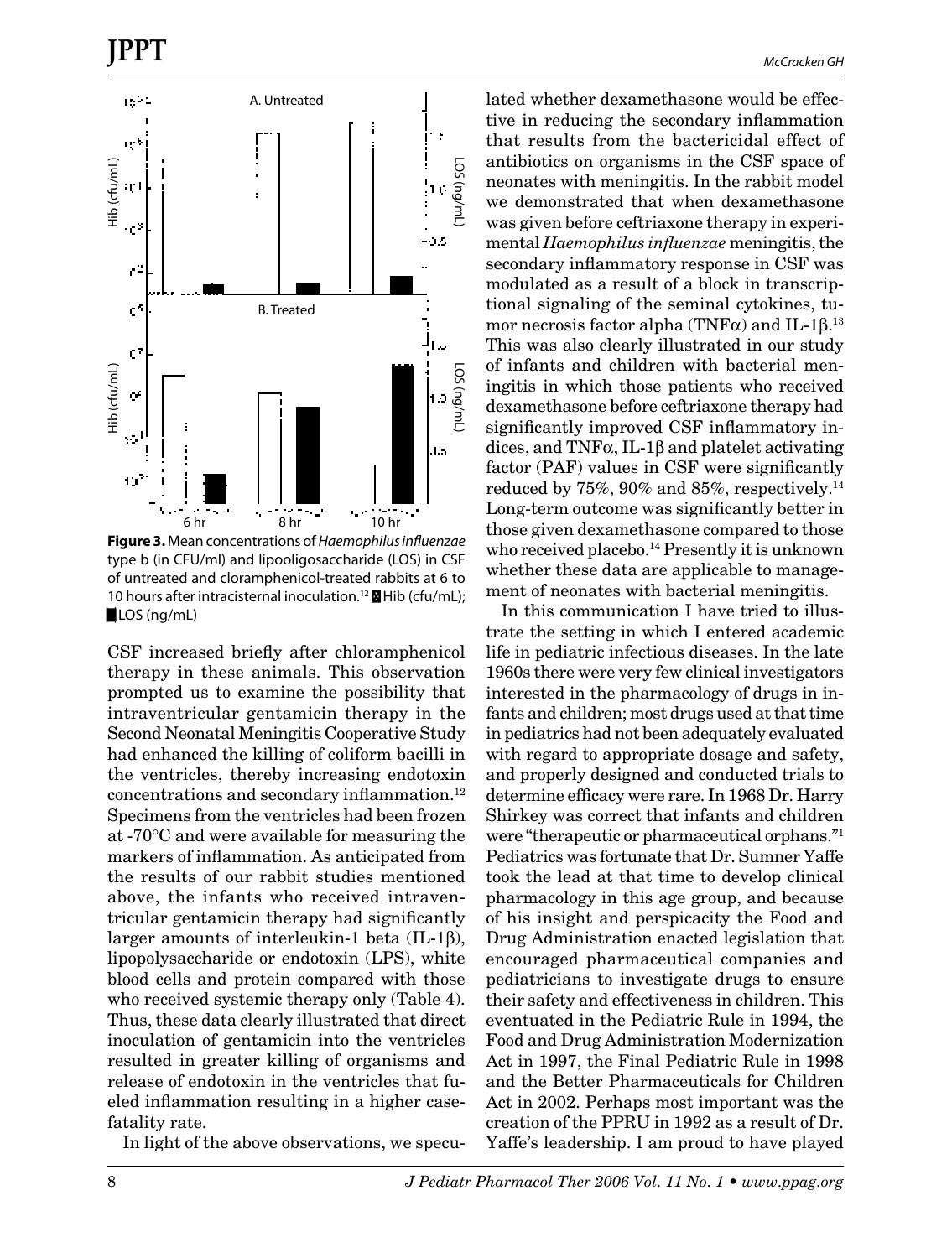

**Figure 3.** Mean concentrations of *Haemophilus influenzae* type b (in CFU/ml) and lipooligosaccharide (LOS) in CSF of untreated and cloramphenicol-treated rabbits at 6 to 10 hours after intracisternal inoculation.<sup>12</sup>  $\blacksquare$  Hib (cfu/mL); LOS (ng/mL)

CSF increased briefly after chloramphenicol therapy in these animals. This observation prompted us to examine the possibility that intraventricular gentamicin therapy in the Second Neonatal Meningitis Cooperative Study had enhanced the killing of coliform bacilli in the ventricles, thereby increasing endotoxin concentrations and secondary inflammation.<sup>12</sup> Specimens from the ventricles had been frozen at -70°C and were available for measuring the markers of inflammation. As anticipated from the results of our rabbit studies mentioned above, the infants who received intraventricular gentamicin therapy had significantly larger amounts of interleukin-1 beta (IL-1β), lipopolysaccharide or endotoxin (LPS), white blood cells and protein compared with those who received systemic therapy only (Table 4). Thus, these data clearly illustrated that direct inoculation of gentamicin into the ventricles resulted in greater killing of organisms and release of endotoxin in the ventricles that fueled inflammation resulting in a higher casefatality rate.

In light of the above observations, we specu-

lated whether dexamethasone would be effective in reducing the secondary inflammation that results from the bactericidal effect of antibiotics on organisms in the CSF space of neonates with meningitis. In the rabbit model we demonstrated that when dexamethasone was given before ceftriaxone therapy in experimental *Haemophilus influenzae* meningitis, the secondary inflammatory response in CSF was modulated as a result of a block in transcriptional signaling of the seminal cytokines, tumor necrosis factor alpha (TNF $\alpha$ ) and IL-1 $\beta$ . $^{13}$ This was also clearly illustrated in our study of infants and children with bacterial meningitis in which those patients who received dexamethasone before ceftriaxone therapy had significantly improved CSF inflammatory indices, and  $TNF\alpha$ , IL-1 $\beta$  and platelet activating factor (PAF) values in CSF were significantly reduced by 75%, 90% and 85%, respectively.<sup>14</sup> Long-term outcome was significantly better in those given dexamethasone compared to those who received placebo.<sup>14</sup> Presently it is unknown whether these data are applicable to management of neonates with bacterial meningitis.

In this communication I have tried to illustrate the setting in which I entered academic life in pediatric infectious diseases. In the late 1960s there were very few clinical investigators interested in the pharmacology of drugs in infants and children; most drugs used at that time in pediatrics had not been adequately evaluated with regard to appropriate dosage and safety, and properly designed and conducted trials to determine efficacy were rare. In 1968 Dr. Harry Shirkey was correct that infants and children were "therapeutic or pharmaceutical orphans."1 Pediatrics was fortunate that Dr. Sumner Yaffe took the lead at that time to develop clinical pharmacology in this age group, and because of his insight and perspicacity the Food and Drug Administration enacted legislation that encouraged pharmaceutical companies and pediatricians to investigate drugs to ensure their safety and effectiveness in children. This eventuated in the Pediatric Rule in 1994, the Food and Drug Administration Modernization Act in 1997, the Final Pediatric Rule in 1998 and the Better Pharmaceuticals for Children Act in 2002. Perhaps most important was the creation of the PPRU in 1992 as a result of Dr. Yaffe's leadership. I am proud to have played